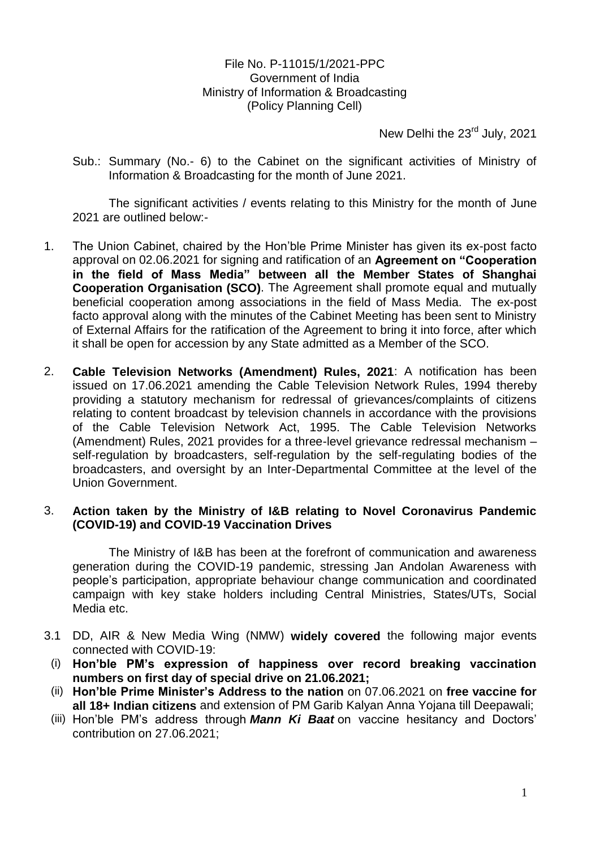File No. P-11015/1/2021-PPC Government of India Ministry of Information & Broadcasting (Policy Planning Cell)

New Delhi the 23<sup>rd</sup> July, 2021

Sub.: Summary (No.- 6) to the Cabinet on the significant activities of Ministry of Information & Broadcasting for the month of June 2021.

The significant activities / events relating to this Ministry for the month of June 2021 are outlined below:-

- 1. The Union Cabinet, chaired by the Hon'ble Prime Minister has given its ex-post facto approval on 02.06.2021 for signing and ratification of an **Agreement on "Cooperation in the field of Mass Media" between all the Member States of Shanghai Cooperation Organisation (SCO)**. The Agreement shall promote equal and mutually beneficial cooperation among associations in the field of Mass Media. The ex-post facto approval along with the minutes of the Cabinet Meeting has been sent to Ministry of External Affairs for the ratification of the Agreement to bring it into force, after which it shall be open for accession by any State admitted as a Member of the SCO.
- 2. **Cable Television Networks (Amendment) Rules, 2021**: A notification has been issued on 17.06.2021 amending the Cable Television Network Rules, 1994 thereby providing a statutory mechanism for redressal of grievances/complaints of citizens relating to content broadcast by television channels in accordance with the provisions of the Cable Television Network Act, 1995. The Cable Television Networks (Amendment) Rules, 2021 provides for a three-level grievance redressal mechanism – self-regulation by broadcasters, self-regulation by the self-regulating bodies of the broadcasters, and oversight by an Inter-Departmental Committee at the level of the Union Government.

## 3. **Action taken by the Ministry of I&B relating to Novel Coronavirus Pandemic (COVID-19) and COVID-19 Vaccination Drives**

The Ministry of I&B has been at the forefront of communication and awareness generation during the COVID-19 pandemic, stressing Jan Andolan Awareness with people's participation, appropriate behaviour change communication and coordinated campaign with key stake holders including Central Ministries, States/UTs, Social Media etc.

- 3.1 DD, AIR & New Media Wing (NMW) **widely covered** the following major events connected with COVID-19:
- (i) **Hon"ble PM"s expression of happiness over record breaking vaccination numbers on first day of special drive on 21.06.2021;**
- (ii) **Hon"ble Prime Minister"s Address to the nation** on 07.06.2021 on **free vaccine for all 18+ Indian citizens** and extension of PM Garib Kalyan Anna Yojana till Deepawali;
- (iii) Hon'ble PM's address through *Mann Ki Baat* on vaccine hesitancy and Doctors' contribution on 27.06.2021;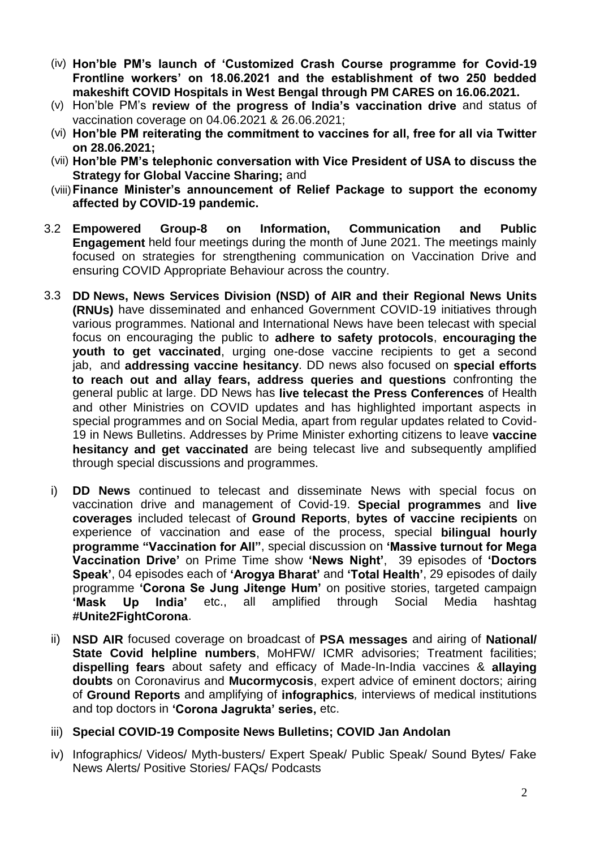- (iv) **Hon"ble PM"s launch of "Customized Crash Course programme for Covid-19 Frontline workers" on 18.06.2021 and the establishment of two 250 bedded makeshift COVID Hospitals in West Bengal through PM CARES on 16.06.2021.**
- (v) Hon'ble PM's **review of the progress of India"s vaccination drive** and status of vaccination coverage on 04.06.2021 & 26.06.2021;
- (vi) **Hon"ble PM reiterating the commitment to vaccines for all, free for all via Twitter on 28.06.2021;**
- (vii) **Hon"ble PM"s telephonic conversation with Vice President of USA to discuss the Strategy for Global Vaccine Sharing;** and
- (viii)**Finance Minister"s announcement of Relief Package to support the economy affected by COVID-19 pandemic.**
- 3.2 **Empowered Group-8 on Information, Communication and Public Engagement** held four meetings during the month of June 2021. The meetings mainly focused on strategies for strengthening communication on Vaccination Drive and ensuring COVID Appropriate Behaviour across the country.
- 3.3 **DD News, News Services Division (NSD) of AIR and their Regional News Units (RNUs)** have disseminated and enhanced Government COVID-19 initiatives through various programmes. National and International News have been telecast with special focus on encouraging the public to **adhere to safety protocols**, **encouraging the youth to get vaccinated**, urging one-dose vaccine recipients to get a second jab, and **addressing vaccine hesitancy**. DD news also focused on **special efforts to reach out and allay fears, address queries and questions** confronting the general public at large. DD News has **live telecast the Press Conferences** of Health and other Ministries on COVID updates and has highlighted important aspects in special programmes and on Social Media, apart from regular updates related to Covid-19 in News Bulletins. Addresses by Prime Minister exhorting citizens to leave **vaccine hesitancy and get vaccinated** are being telecast live and subsequently amplified through special discussions and programmes.
	- i) **DD News** continued to telecast and disseminate News with special focus on vaccination drive and management of Covid-19. **Special programmes** and **live coverages** included telecast of **Ground Reports**, **bytes of vaccine recipients** on experience of vaccination and ease of the process, special **bilingual hourly programme "Vaccination for All"**, special discussion on **"Massive turnout for Mega Vaccination Drive"** on Prime Time show **"News Night"**, 39 episodes of **"Doctors Speak"**, 04 episodes each of **"Arogya Bharat"** and **"Total Health"**, 29 episodes of daily programme **"Corona Se Jung Jitenge Hum"** on positive stories, targeted campaign **"Mask Up India"** etc., all amplified through Social Media hashtag **#Unite2FightCorona**.
	- ii) **NSD AIR** focused coverage on broadcast of **PSA messages** and airing of **National/ State Covid helpline numbers, MoHFW/ ICMR advisories; Treatment facilities; dispelling fears** about safety and efficacy of Made-In-India vaccines & **allaying doubts** on Coronavirus and **Mucormycosis**, expert advice of eminent doctors; airing of **Ground Reports** and amplifying of **infographics***,* interviews of medical institutions and top doctors in **"Corona Jagrukta" series,** etc.
	- iii) **Special COVID-19 Composite News Bulletins; COVID Jan Andolan**
	- iv) Infographics/ Videos/ Myth-busters/ Expert Speak/ Public Speak/ Sound Bytes/ Fake News Alerts/ Positive Stories/ FAQs/ Podcasts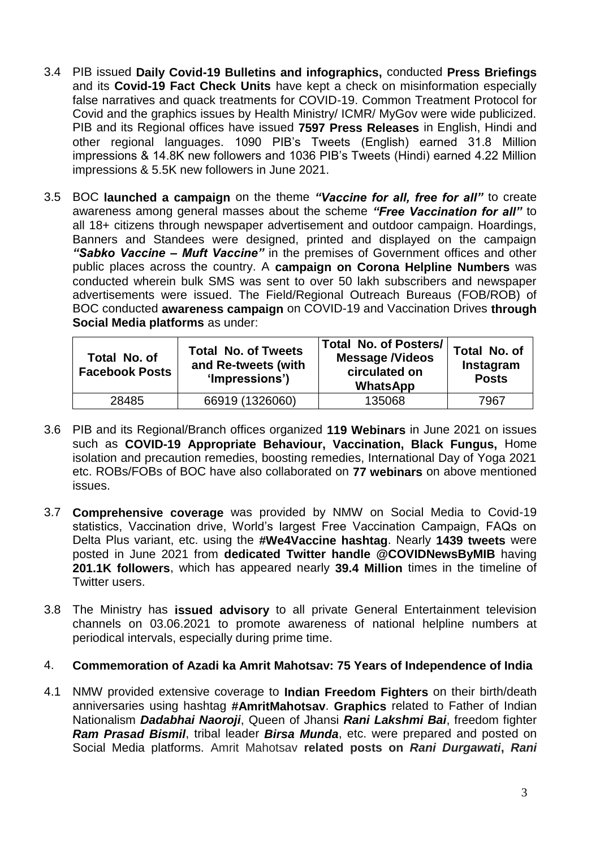- 3.4 PIB issued **Daily Covid-19 Bulletins and infographics,** conducted **Press Briefings**  and its **Covid-19 Fact Check Units** have kept a check on misinformation especially false narratives and quack treatments for COVID-19. Common Treatment Protocol for Covid and the graphics issues by Health Ministry/ ICMR/ MyGov were wide publicized. PIB and its Regional offices have issued **7597 Press Releases** in English, Hindi and other regional languages. 1090 PIB's Tweets (English) earned 31.8 Million impressions & 14.8K new followers and 1036 PIB's Tweets (Hindi) earned 4.22 Million impressions & 5.5K new followers in June 2021.
- 3.5 BOC **launched a campaign** on the theme *"Vaccine for all, free for all"* to create awareness among general masses about the scheme *"Free Vaccination for all"* to all 18+ citizens through newspaper advertisement and outdoor campaign. Hoardings, Banners and Standees were designed, printed and displayed on the campaign *"Sabko Vaccine – Muft Vaccine"* in the premises of Government offices and other public places across the country. A **campaign on Corona Helpline Numbers** was conducted wherein bulk SMS was sent to over 50 lakh subscribers and newspaper advertisements were issued. The Field/Regional Outreach Bureaus (FOB/ROB) of BOC conducted **awareness campaign** on COVID-19 and Vaccination Drives **through Social Media platforms** as under:

| Total No. of<br><b>Facebook Posts</b> | <b>Total No. of Tweets</b><br>and Re-tweets (with<br>'Impressions') | <b>Total No. of Posters/</b><br><b>Message /Videos</b><br>circulated on<br><b>WhatsApp</b> | Total No. of<br>Instagram<br><b>Posts</b> |
|---------------------------------------|---------------------------------------------------------------------|--------------------------------------------------------------------------------------------|-------------------------------------------|
| 28485                                 | 66919 (1326060)                                                     | 135068                                                                                     | 7967                                      |

- 3.6 PIB and its Regional/Branch offices organized **119 Webinars** in June 2021 on issues such as **COVID-19 Appropriate Behaviour, Vaccination, Black Fungus,** Home isolation and precaution remedies, boosting remedies, International Day of Yoga 2021 etc. ROBs/FOBs of BOC have also collaborated on **77 webinars** on above mentioned issues.
- 3.7 **Comprehensive coverage** was provided by NMW on Social Media to Covid-19 statistics, Vaccination drive, World's largest Free Vaccination Campaign, FAQs on Delta Plus variant, etc. using the **#We4Vaccine hashtag**. Nearly **1439 tweets** were posted in June 2021 from **dedicated Twitter handle @COVIDNewsByMIB** having **201.1K followers**, which has appeared nearly **39.4 Million** times in the timeline of Twitter users.
- 3.8 The Ministry has **issued advisory** to all private General Entertainment television channels on 03.06.2021 to promote awareness of national helpline numbers at periodical intervals, especially during prime time.

## 4. **Commemoration of Azadi ka Amrit Mahotsav: 75 Years of Independence of India**

4.1 NMW provided extensive coverage to **Indian Freedom Fighters** on their birth/death anniversaries using hashtag **#AmritMahotsav**. **Graphics** related to Father of Indian Nationalism *Dadabhai Naoroji*, Queen of Jhansi *Rani Lakshmi Bai*, freedom fighter *Ram Prasad Bismil*, tribal leader *Birsa Munda*, etc. were prepared and posted on Social Media platforms. Amrit Mahotsav **related posts on** *Rani Durgawati***,** *Rani*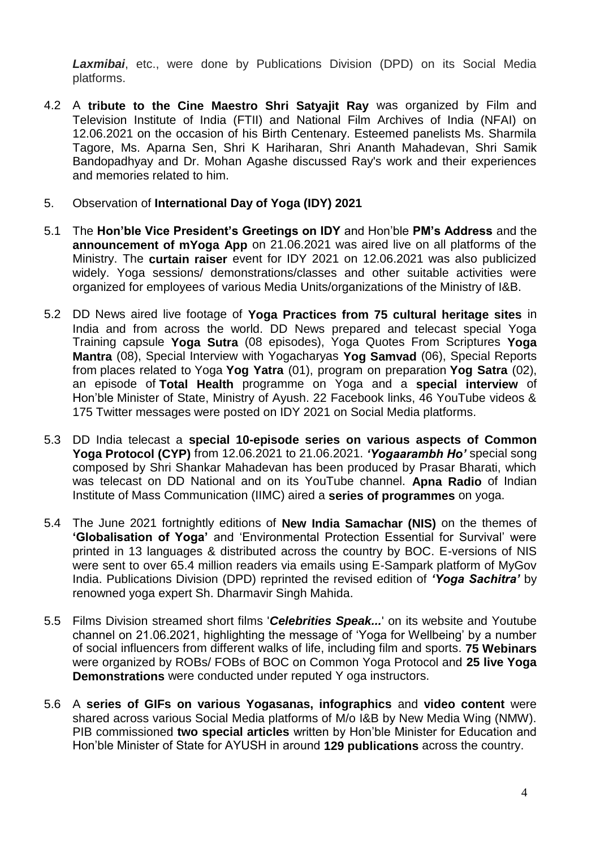*Laxmibai*, etc., were done by Publications Division (DPD) on its Social Media platforms.

- 4.2 A **tribute to the Cine Maestro Shri Satyajit Ray** was organized by Film and Television Institute of India (FTII) and National Film Archives of India (NFAI) on 12.06.2021 on the occasion of his Birth Centenary. Esteemed panelists Ms. Sharmila Tagore, Ms. Aparna Sen, Shri K Hariharan, Shri Ananth Mahadevan, Shri Samik Bandopadhyay and Dr. Mohan Agashe discussed Ray's work and their experiences and memories related to him.
- 5. Observation of **International Day of Yoga (IDY) 2021**
- 5.1 The **Hon"ble Vice President"s Greetings on IDY** and Hon'ble **PM"s Address** and the **announcement of mYoga App** on 21.06.2021 was aired live on all platforms of the Ministry. The **curtain raiser** event for IDY 2021 on 12.06.2021 was also publicized widely. Yoga sessions/ demonstrations/classes and other suitable activities were organized for employees of various Media Units/organizations of the Ministry of I&B.
- 5.2 DD News aired live footage of **Yoga Practices from 75 cultural heritage sites** in India and from across the world. DD News prepared and telecast special Yoga Training capsule **Yoga Sutra** (08 episodes), Yoga Quotes From Scriptures **Yoga Mantra** (08), Special Interview with Yogacharyas **Yog Samvad** (06), Special Reports from places related to Yoga **Yog Yatra** (01), program on preparation **Yog Satra** (02), an episode of **Total Health** programme on Yoga and a **special interview** of Hon'ble Minister of State, Ministry of Ayush. 22 Facebook links, 46 YouTube videos & 175 Twitter messages were posted on IDY 2021 on Social Media platforms.
- 5.3 DD India telecast a **special 10-episode series on various aspects of Common Yoga Protocol (CYP)** from 12.06.2021 to 21.06.2021. *"Yogaarambh Ho"* special song composed by Shri Shankar Mahadevan has been produced by Prasar Bharati, which was telecast on DD National and on its YouTube channel. **Apna Radio** of Indian Institute of Mass Communication (IIMC) aired a **series of programmes** on yoga.
- 5.4 The June 2021 fortnightly editions of **New India Samachar (NIS)** on the themes of **"Globalisation of Yoga"** and 'Environmental Protection Essential for Survival' were printed in 13 languages & distributed across the country by BOC. E-versions of NIS were sent to over 65.4 million readers via emails using E-Sampark platform of MyGov India. Publications Division (DPD) reprinted the revised edition of *"Yoga Sachitra"* by renowned yoga expert Sh. Dharmavir Singh Mahida.
- 5.5 Films Division streamed short films '*Celebrities Speak...*' on its website and Youtube channel on 21.06.2021, highlighting the message of 'Yoga for Wellbeing' by a number of social influencers from different walks of life, including film and sports. **75 Webinars** were organized by ROBs/ FOBs of BOC on Common Yoga Protocol and **25 live Yoga Demonstrations** were conducted under reputed Y oga instructors.
- 5.6 A **series of GIFs on various Yogasanas, infographics** and **video content** were shared across various Social Media platforms of M/o I&B by New Media Wing (NMW). PIB commissioned **two special articles** written by Hon'ble Minister for Education and Hon'ble Minister of State for AYUSH in around **129 publications** across the country.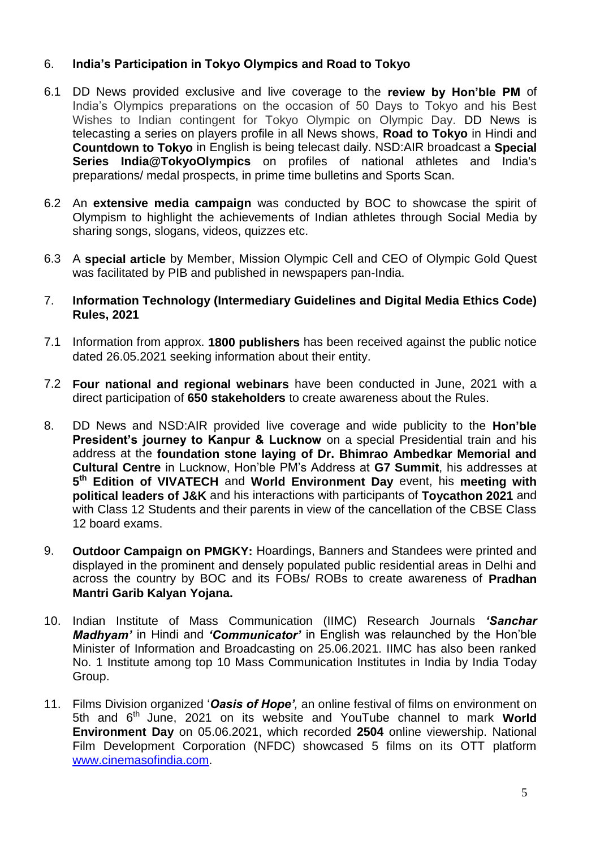## 6. **India"s Participation in Tokyo Olympics and Road to Tokyo**

- 6.1 DD News provided exclusive and live coverage to the **review by Hon"ble PM** of India's Olympics preparations on the occasion of 50 Days to Tokyo and his Best Wishes to Indian contingent for Tokyo Olympic on Olympic Day. DD News is telecasting a series on players profile in all News shows, **Road to Tokyo** in Hindi and **Countdown to Tokyo** in English is being telecast daily. NSD:AIR broadcast a **Special Series India@TokyoOlympics** on profiles of national athletes and India's preparations/ medal prospects, in prime time bulletins and Sports Scan.
- 6.2 An **extensive media campaign** was conducted by BOC to showcase the spirit of Olympism to highlight the achievements of Indian athletes through Social Media by sharing songs, slogans, videos, quizzes etc.
- 6.3 A **special article** by Member, Mission Olympic Cell and CEO of Olympic Gold Quest was facilitated by PIB and published in newspapers pan-India.
- 7. **Information Technology (Intermediary Guidelines and Digital Media Ethics Code) Rules, 2021**
- 7.1 Information from approx. **1800 publishers** has been received against the public notice dated 26.05.2021 seeking information about their entity.
- 7.2 **Four national and regional webinars** have been conducted in June, 2021 with a direct participation of **650 stakeholders** to create awareness about the Rules.
- 8. DD News and NSD:AIR provided live coverage and wide publicity to the **Hon"ble President's journey to Kanpur & Lucknow** on a special Presidential train and his address at the **foundation stone laying of Dr. Bhimrao Ambedkar Memorial and Cultural Centre** in Lucknow, Hon'ble PM's Address at **G7 Summit**, his addresses at **5 th Edition of VIVATECH** and **World Environment Day** event, his **meeting with political leaders of J&K** and his interactions with participants of **Toycathon 2021** and with Class 12 Students and their parents in view of the cancellation of the CBSE Class 12 board exams.
- 9. **Outdoor Campaign on PMGKY:** Hoardings, Banners and Standees were printed and displayed in the prominent and densely populated public residential areas in Delhi and across the country by BOC and its FOBs/ ROBs to create awareness of **Pradhan Mantri Garib Kalyan Yojana.**
- 10. Indian Institute of Mass Communication (IIMC) Research Journals *"Sanchar Madhyam"* in Hindi and *"Communicator"* in English was relaunched by the Hon'ble Minister of Information and Broadcasting on 25.06.2021. IIMC has also been ranked No. 1 Institute among top 10 Mass Communication Institutes in India by India Today Group.
- 11. Films Division organized '*Oasis of Hope",* an online festival of films on environment on 5th and 6th June, 2021 on its website and YouTube channel to mark **World Environment Day** on 05.06.2021, which recorded **2504** online viewership. National Film Development Corporation (NFDC) showcased 5 films on its OTT platform [www.cinemasofindia.com.](http://www.cinemasofindia.com/)